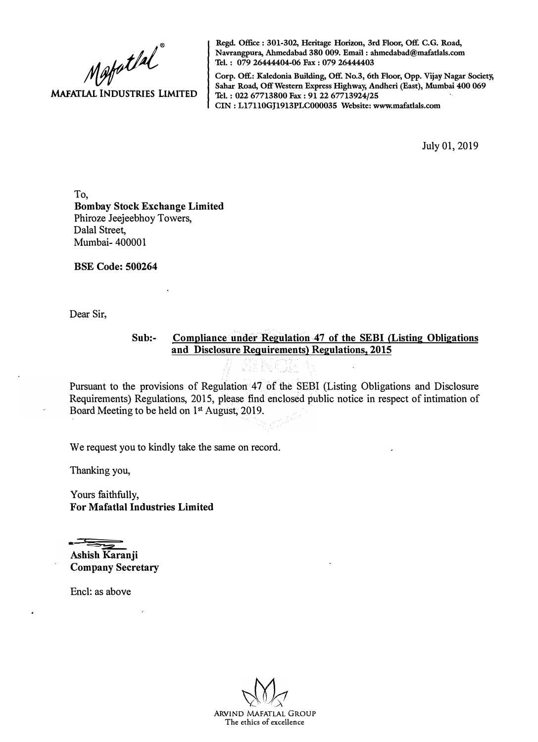**MAFATLAL INDUSTRIES LIMITED**  Mapatlal

**Regd. Office : 301-302, Heritage Horizon, 3rd Floor, Off. C.G. Road, Navrangpura, Ahmedabad 380 009. Email : ahmedabad@mafatlals.com Tel. : 079 26444404-06 Fax : 079 26444403** 

**Corp. Off.: Kaledonia Building, Off. No.3, 6th Floor, Opp. Vijay Nagar Society, Sahar Road, Off Western Express Highway, Andheri (East), Mumbai 400 069 Tel. : 022 67713800 Fax : 91 22 67713924/25 CIN: Ll7110GJ1913PLC000035 Website: www.mafatlals.com** 

July 01, 2019

To, **Bombay Stock Exchange Limited**  Phiroze Jeejeebhoy Towers, Dalal Street, Mumbai- 400001

**BSE Code: 500264** 

Dear Sir,

## **Sub:- Compliance under Regulation 47 of the SEBI {Listing Obligations and Disclosure Requirements) Regulations, 2015**

Pursuant to the provisions of Regulation 47 of the SEBI (Listing Obligations and Disclosure Requirements) Regulations, 2015, please find enclosed public notice in respect of intimation of Board Meeting to be held on 1 st August, 2019.

We request you to kindly take the same on record.

Thanking you,

Yours faithfully, **For Mafatlal Industries Limited** 

.·;� . **Ashish Karanji Company Secretary** 

Encl: as above

ARVIND MAFATLAL GROUP The ethics of excellence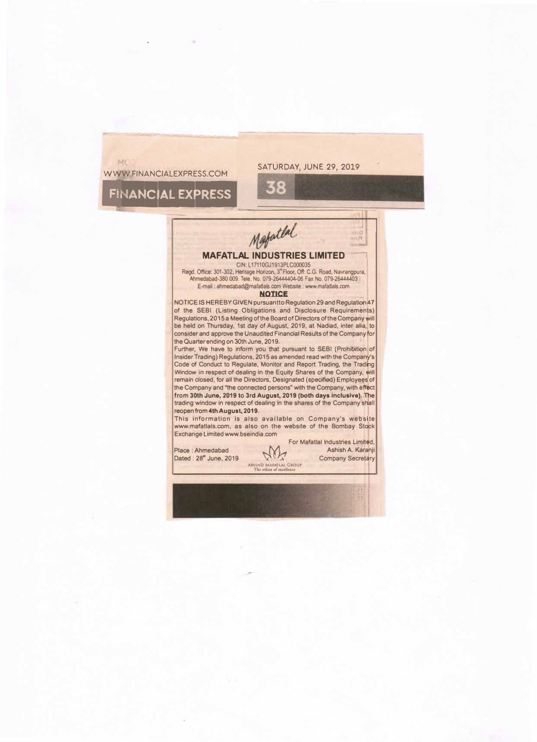### WWW.FINANCIALEXPRESS.COM

### SATURDAY, JUNE 29, 2019

**q** 

# **FINANCIAL EXPRESS**

NAV.

**MAFATLAL INDUSTRIES LIMITED** -,

 $5$ 

## CIN: L17110GJ1913PLC000035

Regd. Office: 301-302, Heritage Horizon, 3' Floor, Off: C.G. Road, Navrangpura, Ahmedabad-380 009. Tele. No. 079-26444404-06 Fax No. 079-26444403 E-mail : ahmedabad@mafatlals.comWebsite:www.mafatlals.com

#### **NOTICE**

**NOTICE IS HEREBY GIVEN pursuantto Regulation 29 and Regulation 47 of the SEBI (Listing Obligations and Disclosure Requirements) Regulations, 2015 a Meeting of the Board of Directors of the Company will be held on Thursday, 1st day of August, 2019, at Nadiad, inter alia, to**  consider and approve the Unaudited Financial Results of the Company for **the Quarter ending on 30th June, 2019.** 

**Further, We have to inform you that pursuant to SEBI (Prohibition of Insider Trading) Regulations, 2015 as amended read with the Company 's Code of Conduct to Regulate, Monitor and Report Trading, the Trading Window in respect of dealing in the Equity Shares of the Company, will remain closed, for all the Directors, Designated (specified) Employees of**  the Company and "the connected persons" with the Company, with effect **from 30th June, 2019 to 3rd August, 2019 (both days lncluslve).The**  trading window in respect of dealing in the shares of the Company shall **reopen from 4th August, 2019.** 

**This information is also available on Company's website www.mafatlals.com, as also on the website of the Bombay Stock Exchange Limited www.bseindia.com** 

| Place: Ahmedabad<br>Dated: 28" June, 2019 | M<br>ARVIND MAFATLAL GROUP<br>The ethics of excellence | For Mafatlal Industries Limited,<br>Ashish A. Karanji<br><b>Company Secretary</b> |
|-------------------------------------------|--------------------------------------------------------|-----------------------------------------------------------------------------------|
|                                           |                                                        |                                                                                   |

·,